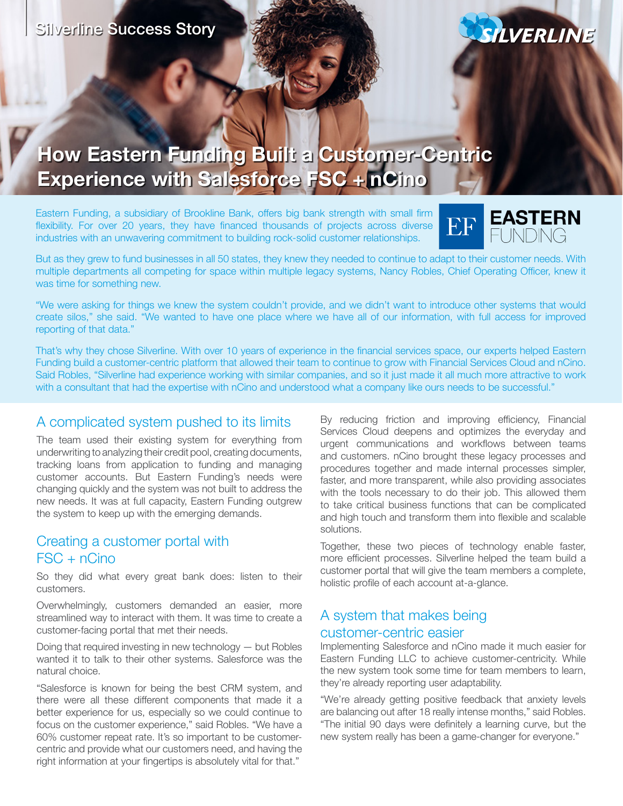

# **How Eastern Funding Built a Customer-Centric Experience with Salesforce FSC + nCino**

Eastern Funding, a subsidiary of Brookline Bank, offers big bank strength with small firm flexibility. For over 20 years, they have financed thousands of projects across diverse industries with an unwavering commitment to building rock-solid customer relationships.



But as they grew to fund businesses in all 50 states, they knew they needed to continue to adapt to their customer needs. With multiple departments all competing for space within multiple legacy systems, Nancy Robles, Chief Operating Officer, knew it was time for something new.

"We were asking for things we knew the system couldn't provide, and we didn't want to introduce other systems that would create silos," she said. "We wanted to have one place where we have all of our information, with full access for improved reporting of that data."

That's why they chose Silverline. With over 10 years of experience in the financial services space, our experts helped Eastern Funding build a customer-centric platform that allowed their team to continue to grow with Financial Services Cloud and nCino. Said Robles, "Silverline had experience working with similar companies, and so it just made it all much more attractive to work with a consultant that had the expertise with nCino and understood what a company like ours needs to be successful."

## A complicated system pushed to its limits

The team used their existing system for everything from underwriting to analyzing their credit pool, creating documents, tracking loans from application to funding and managing customer accounts. But Eastern Funding's needs were changing quickly and the system was not built to address the new needs. It was at full capacity, Eastern Funding outgrew the system to keep up with the emerging demands.

### Creating a customer portal with FSC + nCino

So they did what every great bank does: listen to their customers.

Overwhelmingly, customers demanded an easier, more streamlined way to interact with them. It was time to create a customer-facing portal that met their needs.

Doing that required investing in new technology — but Robles wanted it to talk to their other systems. Salesforce was the natural choice.

"Salesforce is known for being the best CRM system, and there were all these different components that made it a better experience for us, especially so we could continue to focus on the customer experience," said Robles. "We have a 60% customer repeat rate. It's so important to be customercentric and provide what our customers need, and having the right information at your fingertips is absolutely vital for that."

By reducing friction and improving efficiency, Financial Services Cloud deepens and optimizes the everyday and urgent communications and workflows between teams and customers. nCino brought these legacy processes and procedures together and made internal processes simpler, faster, and more transparent, while also providing associates with the tools necessary to do their job. This allowed them to take critical business functions that can be complicated and high touch and transform them into flexible and scalable solutions.

Together, these two pieces of technology enable faster, more efficient processes. Silverline helped the team build a customer portal that will give the team members a complete, holistic profile of each account at-a-glance.

#### A system that makes being customer-centric easier

Implementing Salesforce and nCino made it much easier for Eastern Funding LLC to achieve customer-centricity. While the new system took some time for team members to learn, they're already reporting user adaptability.

"We're already getting positive feedback that anxiety levels are balancing out after 18 really intense months," said Robles. "The initial 90 days were definitely a learning curve, but the new system really has been a game-changer for everyone."